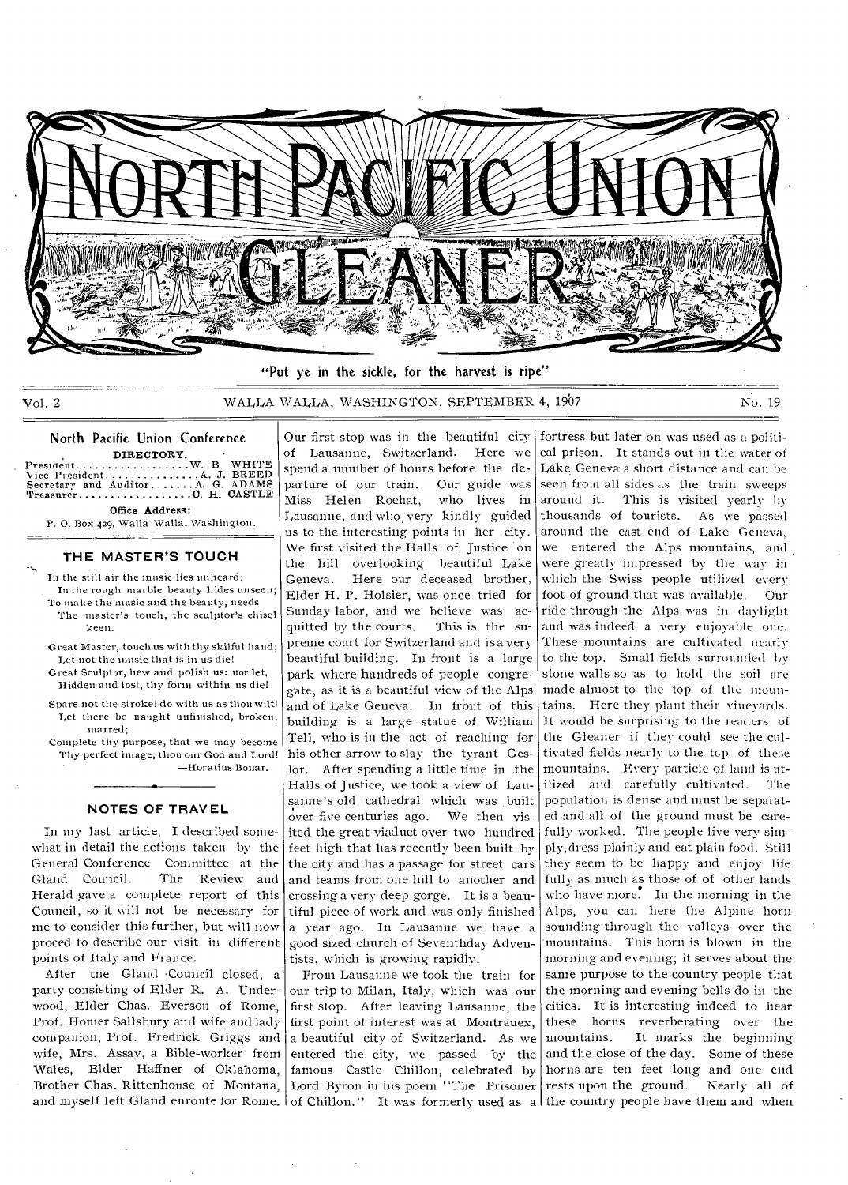

"Put ye in the sickle, for the harvest is ripe"

Vol. 2 WALLA WALLA, WASHINGTON, SEPTEMBER 4, 1907 No. 19

# North Pacific Union Conference

DIRECTORY. President W. B. WHITE Vice President A J BREED Secretary and Auditor A. G. ADAMS Treasurer C H. CASTLE Office Address:

P. 0. Box 429, Walla Walla, Washington. ر<br>سامبر پروهنگوری موسیقی

#### **THE MASTER'S TOUCH**

In the still air the music lies unheard; In the rough marble beauty hides unseen; To make the music and the beauty, needs The master's touch, the sculptor's chisel keen.

- Great Master, touch us with thy skilful hand; Let not the music that is in us die!
- Great Sculptor, hew and polish us: nor let, Hidden and lost, thy form within us die!
- Spare not the stroke! do with us as thou wilt! Let there be naught unfinished, broken, marred;

Complete thy purpose, that we may become Thy perfect image, thou our God and Lord! —lioratius Bonar.

**NOTES OF TRAVEL** 

In my last article, I described somewhat in detail the actions taken by the General Conference Committee at the<br>Gland Council. The Review and The Review and Herald gave a complete report of this Council, so it will not be necessary for me to consider this further, but will now proced to describe our visit in different points of Italy and France.

After tne Gland Council closed, a party consisting of Elder R. A. Underwood, Elder Chas. Everson of Rome, Prof. Homer Salisbury and wife and lady companion, Prof. Fredrick Griggs and wife, Mrs. Assay, a Bible-worker from Wales, Elder Haffner of Oklahoma, Brother Chas. Rittenhouse of Montana, Lord Byron in his poem "The Prisoner

Our first stop was in the beautiful city of Lausanne, Switzerland. Here we spend a number of hours before the departure of our train. Our guide was<br>Miss Helen Rochat, who lives in Miss Helen Rochat, Lausanne, and who very kindly guided us to the interesting points in her city. We first visited the Halls of Justice on the hill overlooking beautiful Lake Geneva. Here our deceased brother, Elder H. P. Holsier, was once tried for Sunday labor, and we believe was acquitted by the courts. This is the supreme court for Switzerland and is a very beautiful building. In front is a large park where hundreds of people congregate, as it is a beautiful view of the Alps and of Lake Geneva. In front of this building is a large statue of William Tell, who is in the act of reaching for his other arrow to slay the tyrant Geslor. After spending a little time in the Halls of Justice, we took a view of Lausanne's old cathedral which was built over five centuries ago. We then visited the great viaduct over two hundred feet high that has recently been built by the city and has a passage for street cars and teams from one hill to another and crossing a very deep gorge. It is a beautiful piece of work and was only finished a year ago. In Lausanne we have a good sized church of Seventhday Adventists, which is growing rapidly.

From Lausanne we took the train for our trip to Milan, Italy, which was our first stop. After leaving Lausanne, the first point of interest was at Montrauex, a beautiful city of Switzerland. As we entered the city, we passed by the famous Castle Chillon, celebrated by

and myself left Gland enroute for Rome. Of Chillon." It was formerly used as a the country people have them and when fortress but later on was used as a political prison. It stands out in the water of Lake Geneva a short distance and can be seen from all sides as the train sweeps around it. This is visited yearly by thousands of tourists. As we passed around the east end of Lake Geneva, we entered the Alps mountains, and were greatly impressed by the way in which the Swiss people utilized every foot of ground that was available. Our ride through the Alps was in daylight and was indeed a very enjoyable one. These mountains are cultivated nearly to the top. Small fields surrounded stone walls so as to hold the soil are made almost to the top of the mountains. Here they plant their vineyards. It would be surprising to the readers of the Gleaner if they could see the cultivated fields nearly to the top of these mountains. Every particle of land is utilized and carefully cultivated. The population is dense and must be separated .and all of the ground must be carefully worked. The people live very simply,dress plainly and eat plain food. Still they seem to be happy and enjoy life fully as much as those of of other lands who have more. In the morning in the Alps, you can here the Alpine horn sounding through the valleys over the mountains. This horn is blown in the morning and evening; it serves about the same purpose to the country people that the morning and evening bells do in the cities. It is interesting indeed to hear these horns reverberating over the<br>mountains. It marks the beginning It marks the beginning and the close of the day. Some of these horns are ten feet long and one end rests upon the ground. Nearly all of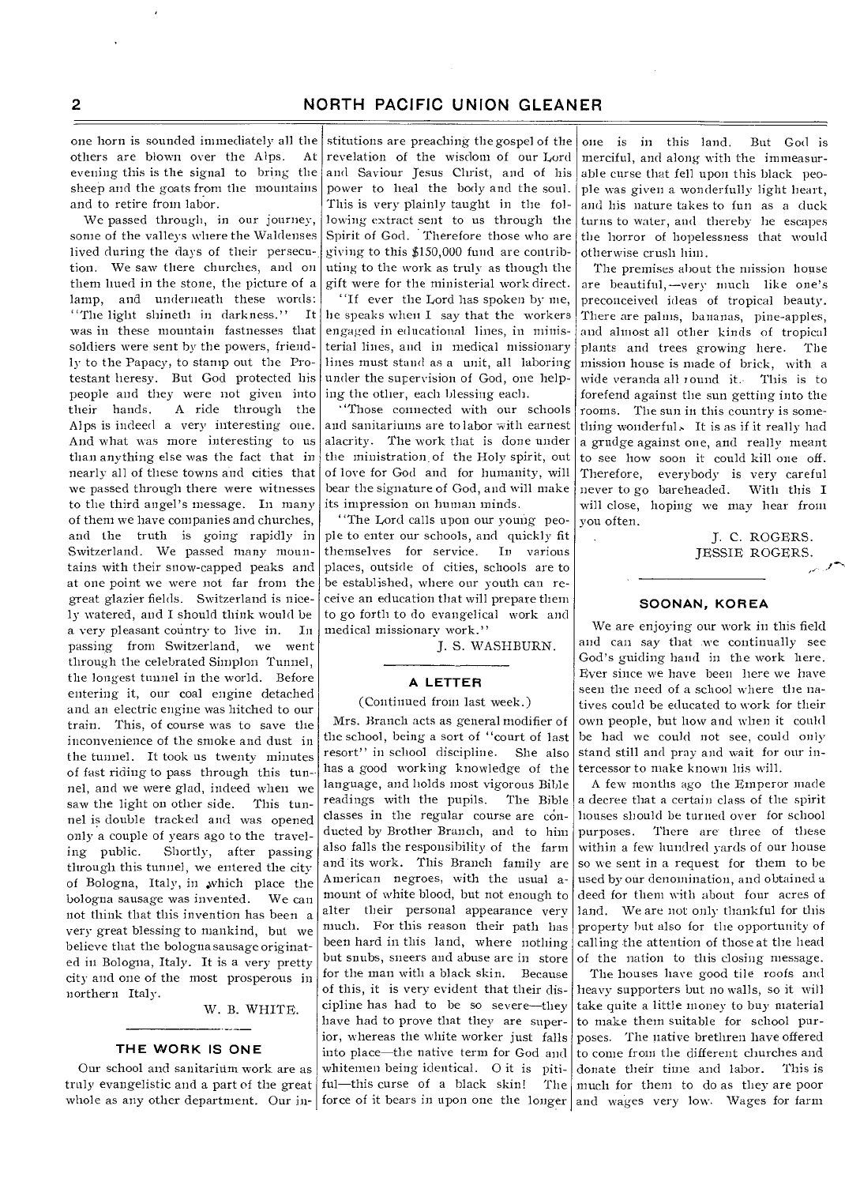one horn is sounded immediately all the others are blown over the Alps. At evening this is the signal to bring the sheep and the goats from the mountains and to retire from labor.

We passed through, in our journey, some of the valleys where the Waldenses lived during the days of their persecution. We saw there churches, and on them hued in the stone, the picture of a lamp, and underneath these words: 'The light shineth in darkness." It was in these mountain fastnesses that soldiers were sent by the powers, friendly to the Papacy, to stamp out the Protestant heresy. But God protected his people and they were not given into<br>their hands. A ride through the A ride through the Alps is indeed a very interesting one. And what was more interesting to us than anything else was the fact that in nearly all of these towns and cities that we passed through there were witnesses to the third angel's message. In many of them we have companies and churches, and the truth is going rapidly in Switzerland. We passed many mountains with their snow-capped peaks and at one point we were not far from the great glazier fields. Switzerland is nicely watered, and I should think would be a very pleasant country to live in. In passing from Switzerland, we went through the celebrated Simplon Tunnel, the longest tunnel in the world. Before entering it, our coal engine detached and an electric engine was hitched to our train. This, of course was to save the inconvenience of the smoke and dust in the tunnel. It took us twenty minutes of fast riding to pass through this tunnel, and we were glad, indeed when we saw the light on other side. This tunnel is double tracked and was opened only a couple of years ago to the travel-<br>ing public. Shortly, after passing Shortly, after passing through this tunnel, we entered the city of Bologna, Italy, in ,which place the bologna sausage was invented. We can not think that this invention has been a very great blessing to mankind, but we believe that the bologna sausage originated in Bologna, Italy. It is a very pretty city and one of the most prosperous in northern Italy.

W. B. WHITE.

#### **THE WORK IS ONE**

Our school and sanitarium work are as truly evangelistic and a part of the great whole as any other department. Our in- force of it bears in upon one the longer and wages very low. Wages for farm

stitutions are preaching the gospel of the revelation of the wisdom of our Lord and Saviour Jesus Christ, and of his power to heal the body and the soul. This is very plainly taught in the following extract sent to us through the Spirit of God. 'Therefore those who are giving to this \$150,000 fund are contributing to the work as truly as though the gift were for the ministerial work direct.

"If ever the Lord has spoken by me, he speaks when I say that the workers engaged in educational lines, in ministerial lines, and in medical missionary lines must stand as a unit, all laboring under the supervision of God, one helping the other, each blessing each.

"Those connected with our schools and sanitariums are to labor with earnest alacrity. The work that is done under the ministration, of the Holy spirit, out of love for God and for humanity, will bear the signature of God, and will make its impression on human minds.

"The Lord calls upon our young people to enter our schools, and quickly fit themselves for service. In various places, outside of cities, schools are to be established, where our youth can receive an education that will prepare them to go forth to do evangelical work and medical missionary work."

J. S. WASHBURN.

### **A LETTER**

#### (Continued from last week.)

Mrs. Branch acts as general modifier of the school, being a sort of "court of last resort" in school discipline. She also has a good working knowledge of the tercessor to make known his will. language, and holds most vigorous Bible readings with the pupils. The Bible classes in the regular course are conducted by Brother Branch, and to him also falls the responsibility of the farm and its work. This Branch family are American negroes, with the usual amount of white blood, but not enough to alter their personal appearance very much. For this reason their path has been hard in this land, where nothing but snubs, sneers and abuse are in store for the man with a black skin. Because of this, it is very evident that their discipline has had to be so severe—they have had to prove that they are superior, whereas the white worker just falls into place—the native term for God and whitemen being identical. 0 it is pitiful—this curse of a black skin! The

one is in this land. But God is merciful, and along with the immeasurable curse that fell upon this black people was given a wonderfully light heart, and his nature takes to fun as a duck turns to water, and thereby he escapes the horror of hopelessness that would otherwise crush him.

The premises about the mission house are beautiful,—very much like one's preconceived ideas of tropical beauty. There are palms, bananas, pine-apples, and almost all other kinds of tropical plants and trees growing here. The mission house is made of brick, with a wide veranda all round it. This is to forefend against the sun getting into the rooms. The sun in this country is something wonderful, It is as if it really had a grudge against one, and really meant to see how soon it could kill one off. Therefore, everybody is very careful never to go bareheaded. With this I will close, hoping we may hear from you often.

> J. C. ROGERS. JESSIE ROGERS.

#### **SOONAN, KOREA**

We are enjoying our work in this field and can say that .we continually see God's guiding hand in the work here. Ever since we have been here we have seen the need of a school where the natives could be educated to work for their own people, but how and when it could be had we could not see, could only stand still and pray and wait for our in-

A few months ago the Emperor made a decree that a certain class of the spirit houses should be turned over for school<br>purposes. There are three of these There are three of these within a few hundred yards of our house so we sent in a request for them to be used by our denomination, and obtained a deed for them with about four acres of land. We are not only thankful for this property but also for the opportunity of calling the attention of those at the head of the nation to this closing message.

The houses have good tile roofs and heavy supporters but no walls, so it will take quite a little money to buy material to make them suitable for school purposes. The native brethren have offered to come from the different churches and donate their time and labor. This is much for them to do as they are poor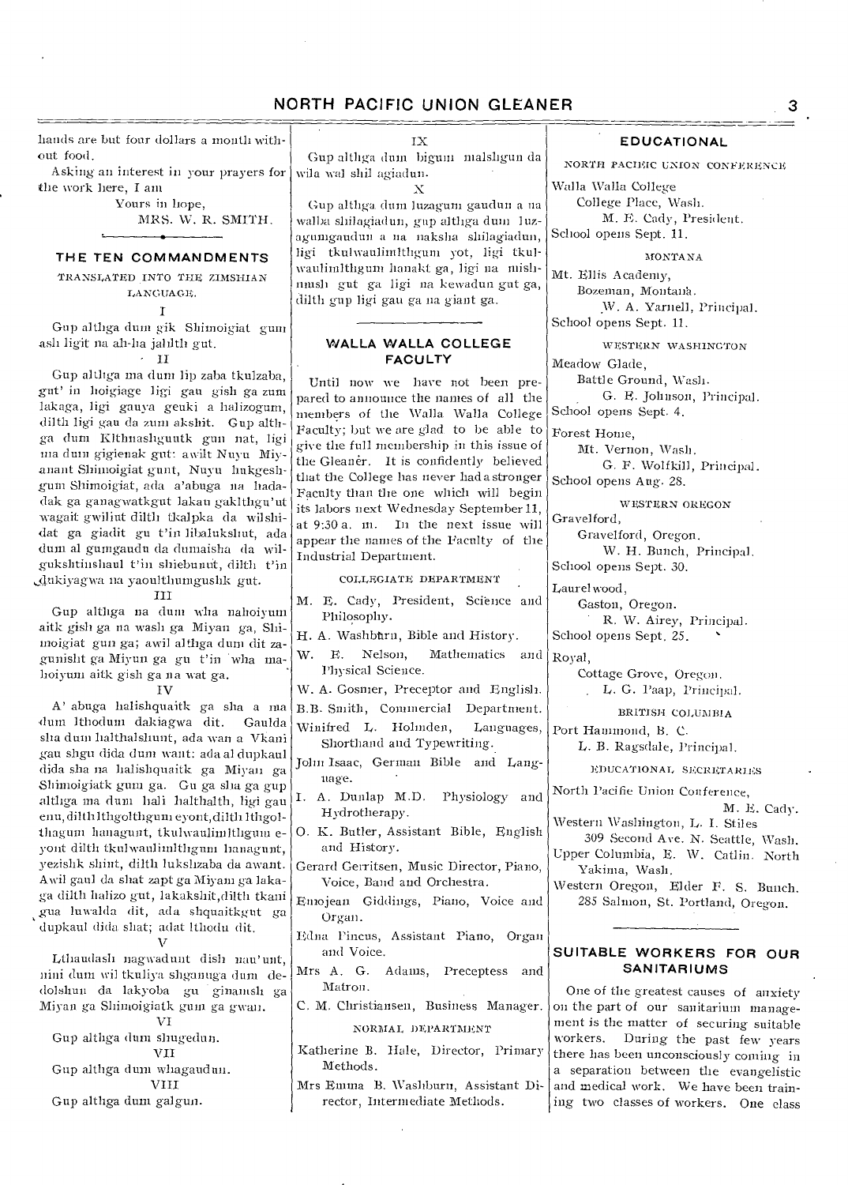hands are but four dollars a month without food.

Asking an interest in your prayers for the work here, I am

Yours in hope,

MRS. W. R. SMITH.

### **THE TEN COMMANDMENTS**

TRANSLATED INTO THE ZIMSHIAN LANGUAGE.

I

Gup althga duni gik Shimoigiat gum ash ligit na ah-ha jahlth gut.  $\cdot$  II

Gup althga ma dum lip zaba tkulzaba, gut' in hoigiage ligi gau gish ga zum lakaga, ligi gauya geuki a halizogum, dilth ligi gau da zum akshit. Gup althga dum Klthnashguutk gun nat, ligi ma dum gigienak gut: awilt Nuyu Miyanant Shimoigiat gunt, Nuyu hukgeshgum Shimoigiat, ada a'abuga no hada-

dak ga ganagwatkgut lakau gaklthgu'ut wagait gwiliut dilth tkalpka da wilshidat ga giadit gu t'in libalukshut, ada dum al gumgaudu da dumaisha da wilgukslitinshaul t'in shiebunut, dilth t'in ,dukiyagwa na yaoulthumgushk gut.

#### III

Gup althga na dum wha naboiyum aitk gish ga na wash ga Miyan ga, Shimoigiat gun ga; awil althga dum dit zagunisht ga Miyun ga gu t'in wha mahoiyum aitk gish ga na wat ga.

#### IV

A' abuga halishquaitk ga sha a ma 4111111 lthodum dakiagwa dit. Gaulda sha dum halthalshunt, ada wan a Vkani gau shgu dida dum want: ada al dupkaul dida sha na halishquaitk ga Miyan ga Shimoigiatk gum ga. Gu ga sha ga gup althga ma dum bali halthalth, ligi gau enu, dilth lthgolthgum eyont, dilth lthgolthagum hanagunt, tkulwaulimithgum eyont dilth tkulwaulimlthgum hanagunt, yezishk shirt, filth lukshzaba da awant. Awil gaul da shat zapt ga Miyam ga lakaga dilth halizo gut, lakakshit,dilth tkani gua luwalda dit, ada shquaitkgut ga dupkaul dida shat; adat lthodu dit.  $\mathbf{v}$ 

Lthaudash nagwadunt dish nau'unt, nini dum wil tkuliya shganuga dum dedolshun da lakyoba gu ginamsh ga Miyan ga Shimoigiatk gum ga gwan.

VI

Gup althga dum shugedun.

VII Gup althga dum whagaudun.

VIII

Gup althga dum galgun.

IX

Gup althga dum bigum malshgun da wila wal shil agiadun. X

Gup althga. dum luzagum gaudun a na walba shilagiadun, gup althga dum luzagumgaudun a na naksha shilagiadun, ligi tkulwaulinntligum yot, ligi tkulwaulimIthgum hanakt ga, ligi na mishmush gut ga ligi na kewadun gut ga, dilth gup ligi gau ga na giant go.

### **WALLA WALLA COLLEGE FACULTY**

Until now we have not been prepared to announce the names of all the members of the Walla. Walla College Faculty; but we are glad to be able to give the full membership in this issue of the Gleaner. It is confidently believed that the College has never hada stronger Faculty than the one which will begin its labors next Wednesday September 11, at 9:30 a. in. In the next issue will appear the names of the Faculty of the Industrial Department.

#### COLLEGIATE DEPARTMENT

- M. E. Cady, President, Science and Philosophy.
- H. A. Washbtirn, Bible and History.
- W. E. Nelson, Mathematics and Physical Science.

W. A. Gosmer, Preceptor and English.

B.B. Smith, Commercial Department.

- Winifred L. Holinden, Languages, Shorthand and Typewriting.
- John Isaac, German Bible and Language.
- I. A. Dunlap M.D. Physiology and Hydrotherapy.
- 0. K. Butler, Assistant Bible, English and History.
- Gerard Gerritsen, Music Director, Piano, Voice, Band and Orchestra.
- Emojean Giddings, Piano, Voice and Organ.
- Edna Pincus, Assistant Piano, Organ and Voice.
- Mrs A. G. Adams, Preceptess and Matron.
- C. M. Christiansen, Business Manager.

#### NORMAL DEPARTMENT

Katherine B. Hale, Director, Primary Methods.

Mrs Emma B. Washburn, Assistant Director, Intermediate Methods.

### **EDUCATIONAL**

NORTH PACIFIC UNION CONFERENCE

Walla Walla College College Place, Wash. M. E. Cody, President. School opens Sept. 11.

arONTA NA

Mt. Ellis Academy, Bozeman, Montanh. W. A. Yarnell, Principal. School opens Sept. 11.

WESTERN WASHINGTON Meadow Glade,

Battle Ground, Wash. G. E. Johnson, Principal. School opens Sept. 4.

Forest Home,

Mt. Vernon, Wash. G. F. Wolfkill, Principal.

School opens Aug. 28.

WESTERN OREGON Gravelford,

Gravelford, Oregon.

W. H. Bunch, Principal. School opens Sept. 30.

Laurelwood,

Gaston, Oregon.

R. W. Airey, Principal. School opens Sept. *25.* 

Royal,

Cottage Grove, Oregon. L. G. Paap, Principal.

BRITISH COLUMBIA

Port Hammond, B. C.

L. B. Ragsdale, Principal.

EDUCATIONAL SECRETARIES

North Pacific Union Conference,

M. E. Cady. Western Washington, L. I. Stiles

309 Second Ave. N. Seattle, Wash. Upper Columbia, E. W. Catlin. North

Yakima, Wash. Western Oregon, Elder F. S. Bunch. 285 Salmon, St. Portland, Oregon.

### **SUITABLE WORKERS FOR OUR SANITARIUMS**

One of the greatest causes of anxiety on the part of our sanitarium management is the matter of securing suitable workers. During the past few years there has been unconsciously coming in a separation between the evangelistic and medical work. We have been training two classes of workers. One class

3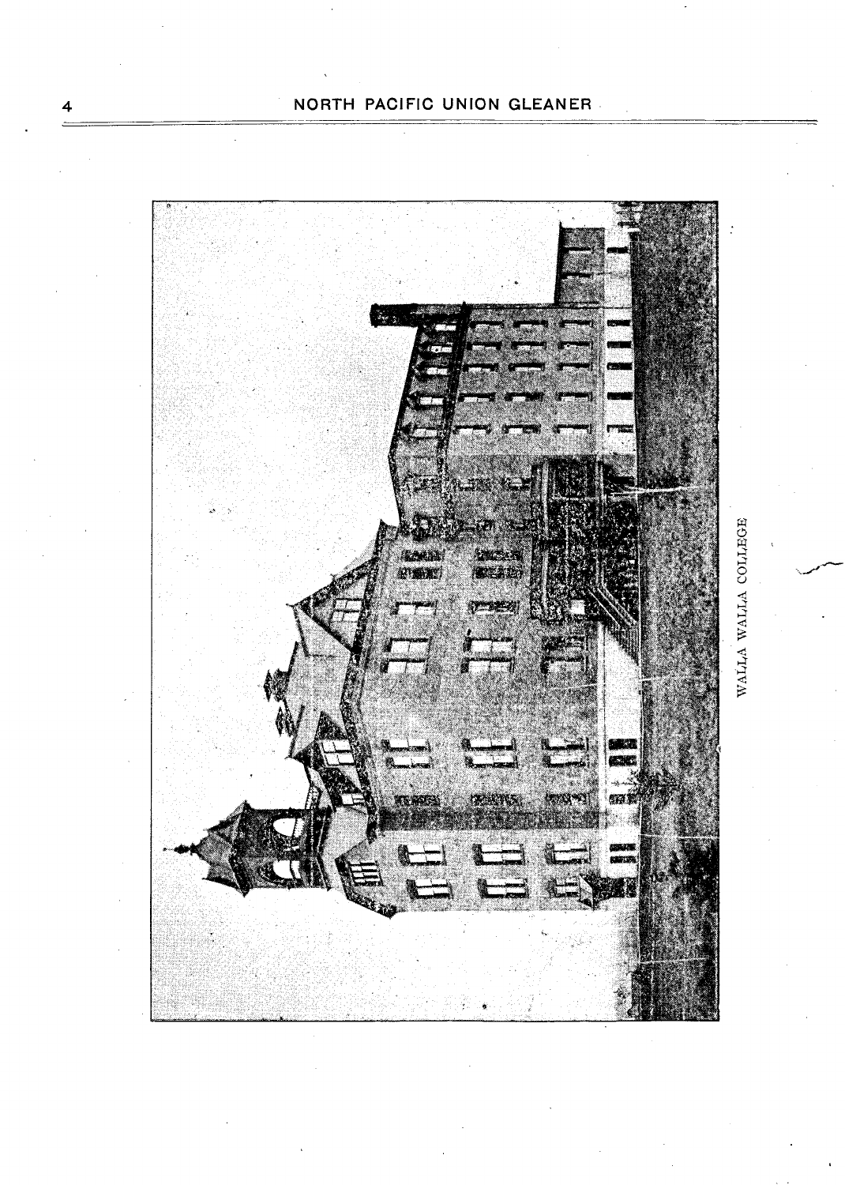

 $\overline{\mathbf{4}}$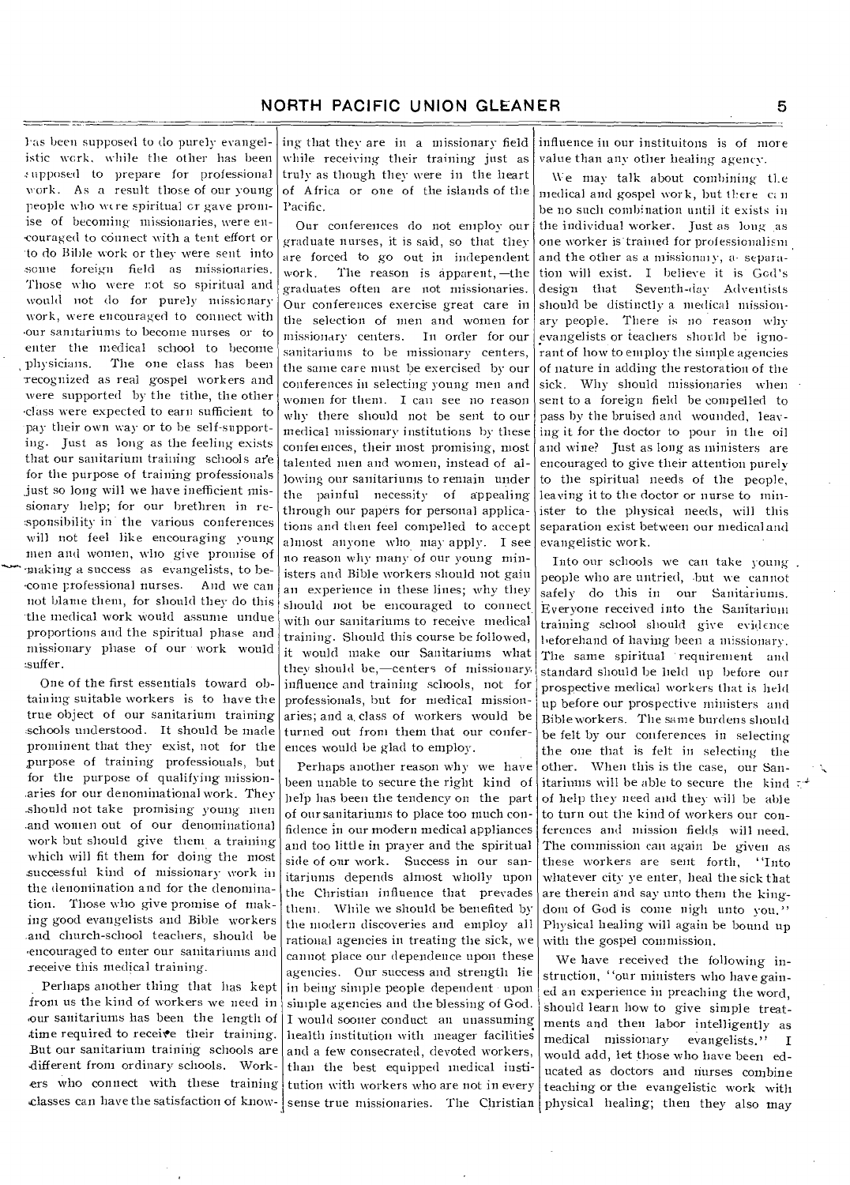bas been supposed to do purely evangelistic work, while the other has been upposed to prepare for professional work. As a result those of our young people who were spiritual cr gave promise of becoming missionaries, were en- -courage(' to connect with a tent effort or •to do Bible work or they were sent into some foreign field as missionaries. Those who were not so spiritual and would not do for purely missionary work, were encouraged to connect with our sanitariums to become nurses or to enter the medical school to become physicians. The one class has been recognized as real gospel workers and were supported by the tithe, the other .class were expected to earn sufficient to pay their own way or to be self-supporting. Just as long as the feeling exists that our sanitarium training schools are for the purpose of training professionals just so long will we have inefficient missionary help; for our brethren in responsibility in the various conferences will not feel like encouraging young men and women, who give promise of unaking a success as evangelists, to be--come professional nurses. And we can not blame them, for should they do this the medical work Would assume undue proportions and the spiritual phase and missionary phase of our • work would suffer.

One of the first essentials toward obtaining suitable workers is to have the true object of our sanitarium training schools understood. It should be made prominent that they exist, not for the purpose of training professionals, but for the purpose of qualifying missionaries for our denominational work. They \_should not take promising young men .and women out of our denominational work but should give them a training which will fit them for doing the most successful kind of missionary work in the denomination and for the denomination. Those who give promise of making good evangelists and Bible workers .and church-school teachers, should be •encouraged to enter our sanitariums and receive this medical training.

Perhaps another thing that has kept from us the kind of workers we need in our sanitariums has been the length of time required to receive their training. But our sanitarium training schools are ,different from ordinary schools. Workers who connect with these training

ing that they are in a missionary field while receiving their training just as truly as though they were in the heart of Africa or one of the islands of the Pacific.

Our conferences do not employ our graduate nurses, it is said, so that they are forced to go out in independent work. The reason is apparent, —the graduates often are not missionaries. Our conferences exercise great care in the selection of men and women for missionary centers. In order for our sanitariums to be missionary centers, the same care must be exercised by our conferences in selecting' young men and women for them. I can see no reason why there should not be sent to our medical missionary institutions by these conferences, their most promising, most talented men and women, instead of allowing our sanitariums to remain under the painful necessity of appealing through our papers for personal applications and then feel compelled to accept almost anyone who may apply. I see no reason why many of our young ministers and Bible workers should not gain an experience in these lines; why they should not be encouraged to connect with our sanitariums to receive medical training. Should this course be followed, it would make our Sanitariums what they should be,—centers of missionary. influence and training schools, not for professionals, but for medical missionaries; and a. class of workers would be turned out from them that our conferences would be glad to employ.

Perhaps another reason why we have been unable to secure the right kind of help has been the tendency on the part of our sanitariums to place too much confidence in our modern medical appliances and too little in prayer and the spiritual side of our work. Success in our sanitariums depends almost wholly upon the Christian influence that prevades them. While we should be benefited by the modern discoveries and employ all rational agencies in treating the sick, we cannot place our dependence upon these

classes can have the satisfaction of know- sense true missionaries. The Christian physical healing; then they also may agencies. Our success and strength lie in being simple people dependent • upon simple agencies and the blessing of God. I would sooner conduct an unassuming health institution with meager facilitie and a few consecrated, devoted workers, than the best equipped medical institution with workers who are not in every

influence in our instituitons is of more value than any other healing agency.

We may talk about combining the medical and gospel work, but there  $\alpha$  n be no such combination until it exists iu the individual worker. Just as long as one worker is trained for professionalism and the other as a missionary, a• separation will exist. I believe it is God's design that Seventh-day Adventists should be distinctly a medical missionary people. There is no reason why evangelists or teachers should be ignorant of how to employ the simple agencies of nature in adding the restoration of the sick. Why should missionaries when sent to a foreign field be compelled to pass by the bruised and wounded, leaving it for the doctor to pour in the oil and wine? Just as long as ministers are encouraged to give their attention purely to the spiritual needs of the people, leaving it to the doctor or nurse to minister to the physical needs, will this separation exist between our medical and evangelistic work.

Into our schools we can take young. people who are untried, .but we cannot safely do this in our Sanitariums. Everyone received into the Sanitarium training school should give exigence beforehand of having' been a missionary. The same spiritual 'requirement and standard should be held up before our prospective medical workers that is held up before our prospective ministers and Bible workers. The same burdens should be felt by our conferences in selecting the one that is felt in selecting the other. When this is the case, our Sanitariums will be able to secure the kind  $\tau^*$ of help they need and they will be able to turn out the kind of workers our conferences and mission fields will need. The commission can again be given as these workers are sent forth, "Into whatever city ye enter, heal the sick that are therein and say unto them the kingdom of God is come nigh unto you." Physical healing-will again be bound up with the gospel commission.

We have received the following instruction, "our ministers who have gained an experience in preaching the word, Should learn how to give simple treatments and then labor intelligently as medical missionary evangelists." I would add, let those who have been educated as doctors and nurses combine teaching or the evangelistic work with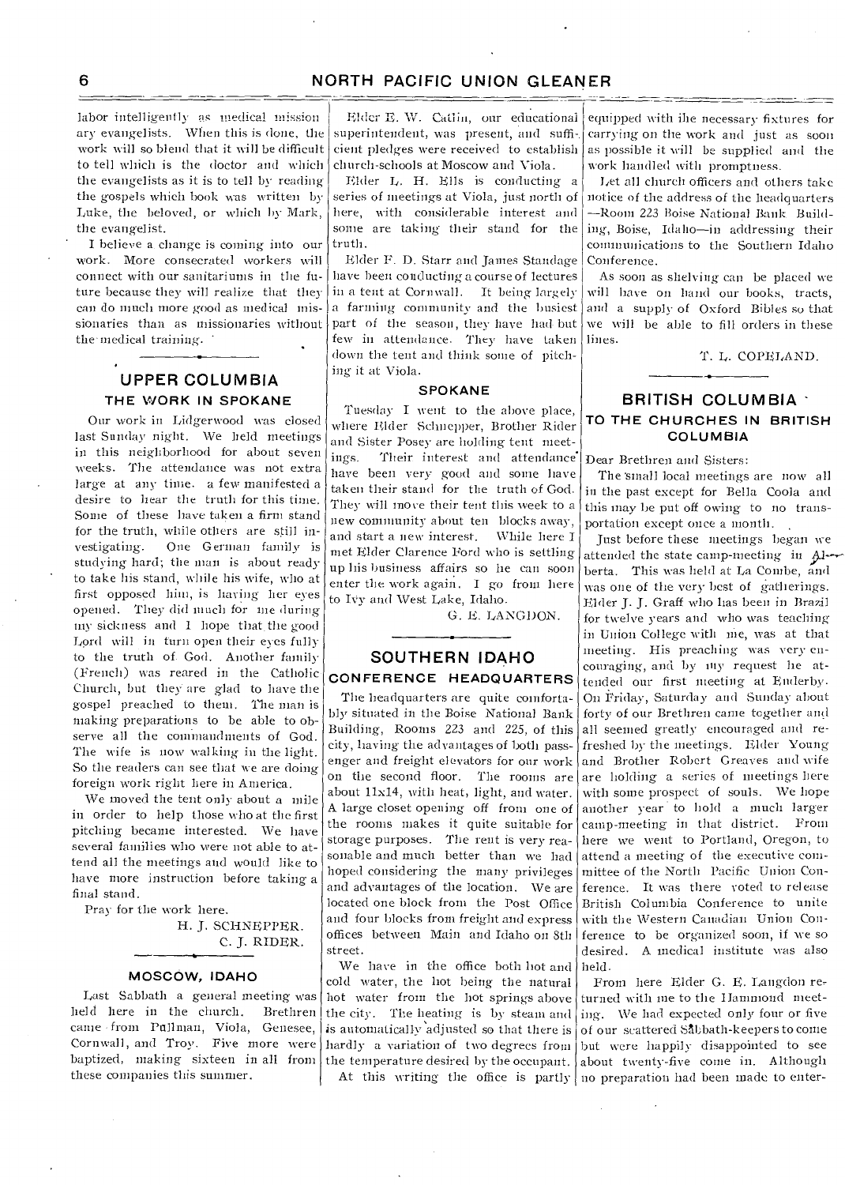labor intelligently as medical mission ary evangelists. When this is done, the work will so blend that it will be difficult to tell winch is the doctor and which the evangelists as it is to tell by reading the gospels which book was written by Luke, the beloved, or which by Mark, the evangelist.

I believe a change is coming into our work. More consecrated workers will connect with our sanitariums in the future because they will realize that they can do much more good as medical missionaries than as missionaries without the medical training. •

## **UPPER COLUMBIA THE WORK IN SPOKANE**

Our work in Lidgerwood was closed last Sunday night. We held meetings in this neighborhood for about seven weeks. The attendance was not extra large at any time. a few manifested a desire to hear the truth for this time. Some of these have taken a firm stand for the truth, while others are still in-One German family is studying hard; the man is about readyto take his stand, while his wife, who at first opposed him, is having her eyes opened. They did much for me duringmy sickness and I hope that. the good Lord will in turn open their eyes fully to the truth of. God. Another family (French) was reared in the Catholic Church, but they are glad to have the gospel preached to them. The man is making preparations to be able to observe all the commandments of God. The wife is now walking in the light. So the readers can see that we are doing foreign work right here in America.

We moved the tent only about a mile in order to help those who at the first pitching became interested. We have several families who were not able to attend all the meetings and would like to have more instruction before taking a final stand.

Pray for the work here.

H. J. SCHNEPPER. C. J. RIDER.

#### **MOSCOW, IDAHO**

Last Sabbath a general meeting was held here in the church. Brethren came from Pullman, Viola, Genesee, Cornwall, and Troy. Five more were baptized, making sixteen in all from these companies this summer.

Elder E. W. Catlin, our educational superintendent, was present, and sufficient pledges were received to establish church-schools at Moscow and Viola.

Elder L. H. Ells is conducting a series of meetings at Viola, just north of here, with considerable interest and some are taking their stand for the truth.

Elder F. D. Starr and James Standage have been conducting a course of lectures in a tent at Cornwall. It being largely a fanning community and the busiest part of the season, they have had- but few in attendance. They have taken down the tent and think some of pitching it at Viola.

#### **SPOKANE**

Tuesday I went to the above place, where Elder Schnepper, Brother Rider and Sister Posey are holding tent meetings. Their interest and attendance have been very good and some have taken their stand for the truth of God. They will move their tent this week to a new community about ten blocks away, and start a new interest. While here I met Elder Clarence Ford who is settling up his business affairs so lie can soon enter the work again. I go from here to IVy and West Lake, Idaho.

G. E. LANGDON.

### **SOUTHERN IDAHO CONFERENCE HEADQUARTERS**

The headquarters are quite comfortably situated in the Boise National Bank Building, Rooms 223 and 225, of this city, having the advantages of both passenger and freight elevators for our work about 11x14, with heat, light, and water. A large closet opening off from one of the rooms makes it quite suitable for storage purposes. The rent is very reasonable and much better than we had hoped considering the many privileges and advantages of the location. We are located one block from the Post Office and four blocks from freight and express offices between Main and Idaho on 8th street.

We have in the office both hot and cold water, the hot being the natural hot water from the hot springs above equipped with ihe necessary fixtures for carrying on the work and just as soon as possible it will be supplied and the work handled with promptness.

Let all church officers and others take notice of the address of the headquarters —Room 223 Boise National Bank Building, Boise, Idaho—in addressing their communications to the Southern Idaho Conference.

As soon as shelving can be placed we will have on hand our books, tracts, and a supply of Oxford Bibles so that we will be able to fill orders in these lines.

T. L. COPELAND.

### **BRITISH COLUMBIA TO THE CHURCH ES IN BRITISH COLUMBIA**

Dear Brethren and Sisters:

The 'small local meetings are now all in the past except for Bella Coola and this may be put off owing to no transportation except once a month. ,

on the second floor. The rooms are are holding a series of meetings here Just before these meetings began we attended the state camp-meeting in Alberta. This was held at La Combe, and was one of the very best of gatherings. Elder J. J. Graff who has been in Brazil for twelve years and who was teaching in Union College with me, was at that meeting. His preaching was very encouraging, and by my request he attended our first meeting at Enderby. On Friday, Saturday and Sunday about forty of our Brethren came together and all seemed greatly encouraged and refreshed by the meetings. Elder Young and Brother Robert Greaves and wife with some prospect of souls. We hope another year to hold a much larger camp-meeting in that district. From here we went to Portland, Oregon, to attend a meeting of the executive committee of the North Pacific Union Conference. It was there voted to release British Columbia Conference to unite with the Western Canadian Union Conference to be organized soon, if we so desired. A medical institute was also held.

the city. The heating is by steam and ing. We had expected only four or five is automatically adjusted so that there is  $|$  of our scattered Sabbath-keepers to come hardly a variation of two degrees from but were happily disappointed to see the temperature desired by the occupant.  $\vert$  about twenty-five come in. Although At this writing the office is partly no preparation had been made to enter-From here Elder G. E. Langdon re, turned with me to the Hammond meet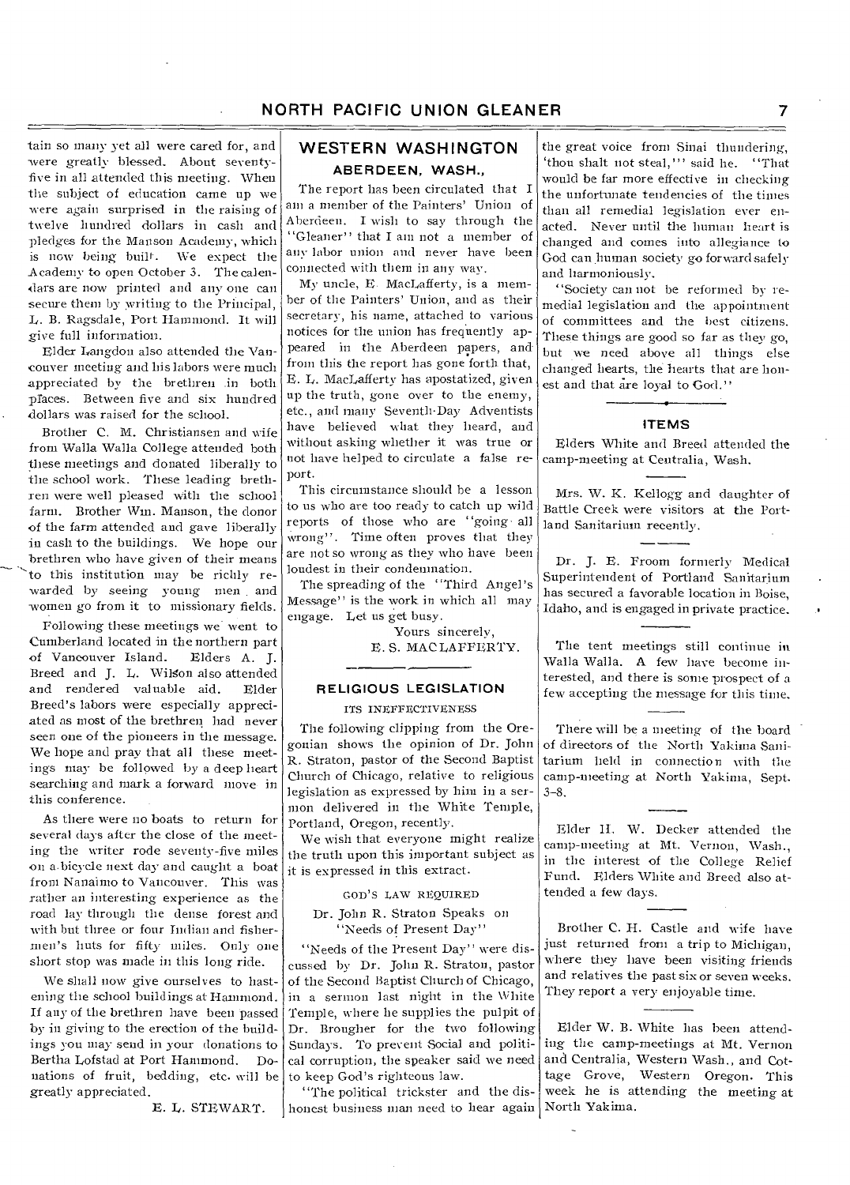tain so many yet all were cared for, and were greatly blessed. About seventyfive in all attended this meeting. When the subject of education came up we were again surprised in the raising of twelve hundred dollars in cash and pledges for the Manson Academy, which is now being built. We expect the Academy to open October 3. The calendars are now printed and any one can secure them by writing to the Principal, L. B. Ragsdale, Port Hammond. It will give full information.

Elder Langdon also attended the Vancouver meeting and his labors were much appreciated by the brethren .in both praces. Between five and six hundred dollars was raised for the school.

Brother C. M. Christiansen and wife from Walla Walla College attended both these meetings and donated liberally to the school work. These leading brethren were well pleased with the school farm. Brother Wm. Manson, the donor of the farm attended and gave liberally in cash to the buildings. We hope our brethren who have given of their means to this institution may be richly rewarded by seeing young men . and -women go from it to missionary fields.

Following these meetings we went to Cumberland located in the northern part<br>of Vancouver Island. Elders A. J. of Vancouver Island. Breed and J. L. Wilson also attended and rendered valuable aid. Elder Breed's labors were especially appreciated as most of the brethren had never seen one of the pioneers in the message. We hope and pray that all these meetings may be followed by a deep heart searching and mark a forward move in this conference.

As there were no boats to return for several days after the close of the meeting the writer rode seventy-five miles on a.bicycle next day and caught a boat from Nanaimo to Vancouver. This was rather an interesting experience as the road lay through the dense forest and with but three or four Indian and fishermen's huts for fifty miles. Only one short stop was made in this long ride.

We shall now give ourselves to hastening the school buildings at Hammond. If any of the brethren have been passed by in giving-to the erection of the buildings you may send in your donations to Bertha Lofstad at Port Hammond. Donations of fruit, bedding, etc. will be greatly appreciated.

E. L. STEWART.

## **WESTERN WASHINGTON ABERDEEN, WASH.,**

The report has been circulated that I am a member of the Painters' Union of Aberdeen. I wish to say through the "Gleaner" that I am not a member of any labor union and never have been connected with them in any way.

My uncle, E. MacLafferty, is a member of the Painters' Union, and as their secretary, his name, attached to various notices for the union has frequently appeared in the Aberdeen papers, and from this the report has gone forth that, E. L. MacLafferty has apostatized, given up the truth, gone over to the enemy, etc., and many Seventh-Day Adventists have believed what they heard, and without asking whether it was true or not have helped to circulate a false report.

This circumstance should be a lesson to us who are too ready to catch up wild reports of those who are "going- all wrong". Time often proves that they are not so wrong as they who have been loudest in their condemnation.

The spreading of the "Third Angel's Message" is the work in which all may engage. Let us get busy.

> Yours sincerely, E. S. MAC LAFFERTY.

# **RELIGIOUS LEGISLATION**

ITS INEFFECTIVENESS

The following clipping from the Oregonian shows the opinion of Dr. John R. Straton, pastor of the Second Baptist Church of Chicago, relative to religious legislation as expressed by him in a sermon delivered in the White Temple, Portland, Oregon, recently.

We wish that everyone might realize the truth upon this important subject as it is expressed in this extract.

GOD'S LAW REQUIRED

#### Dr. John R. Straton Speaks on "Needs of Present Day"

"Needs of the Present Day" were discussed by Dr. John R. Straton, pastor of the Second Baptist Church of Chicago, in a sermon last night in the White Temple, where he supplies the pulpit of Dr. Brougher for the two following Sundays. To prevent Social and political corruption, the speaker said we need to keep God's righteous law.

"The political trickster and the dishonest business man need to hear again

the great voice from Sinai thundering, `thou shalt not steal,"' said he. "That would be far more effective in checking the unfortunate tendencies of the times than all remedial legislation ever enacted. Never until the human heart is changed and comes into allegiance to God can human society go forward safely and harmoniously..

"Society can not be reformed by remedial legislation and the appointment of committees and the best citizens. These things are good so far as they go, but we need above all things else changed hearts, the hearts that are honest and that are loyal to God."

#### ITEMS

Elders White and Breed attended the camp-meeting at Centralia, Wash.

Mrs. W. K. Kellogg and daughter of Battle Creek were visitors at the Portland Sanitarium recently.

Dr. J. E. Froom formerly Medical Superintendent of Portland Sanitarium has secured a favorable location in Boise, Idaho, and is engaged in private practice.

The tent meetings still continue in Walla Walla. A few have become interested, and there is some prospect of a few accepting the message for this time,

There will be a meeting of the board of directors of the North Yakima Sanitarium held in connection with the camp-meeting at North Yakima, Sept. 3-8.

Elder H. W. Decker attended the camp-meeting at Mt. Vernon, Wash., in the interest of the College Relief Fund. Elders White and Breed also attended a few days.

Brother C. H. Castle and wife have just returned from a trip to Michigan, where they have been visiting friends and relatives the past six or seven weeks. They report a very enjoyable time.

Elder W. B. White has been attending the camp-meetings at Mt. Vernon and Centralia, Western Wash., and Cottage Grove, Western Oregon. This week he is attending the meeting at North Yakima.